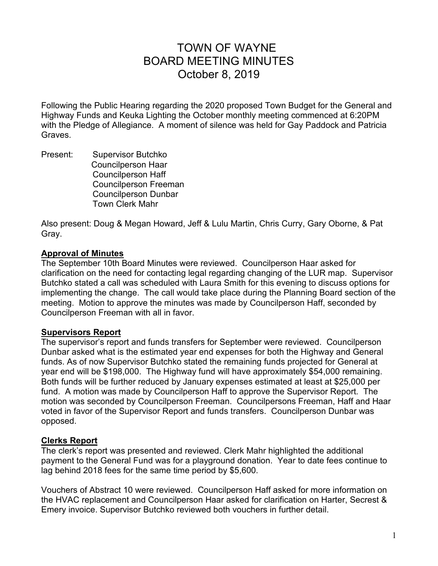# TOWN OF WAYNE BOARD MEETING MINUTES October 8, 2019

Following the Public Hearing regarding the 2020 proposed Town Budget for the General and Highway Funds and Keuka Lighting the October monthly meeting commenced at 6:20PM with the Pledge of Allegiance. A moment of silence was held for Gay Paddock and Patricia Graves.

Present: Supervisor Butchko Councilperson Haar Councilperson Haff Councilperson Freeman Councilperson Dunbar Town Clerk Mahr

Also present: Doug & Megan Howard, Jeff & Lulu Martin, Chris Curry, Gary Oborne, & Pat Gray.

## **Approval of Minutes**

The September 10th Board Minutes were reviewed. Councilperson Haar asked for clarification on the need for contacting legal regarding changing of the LUR map. Supervisor Butchko stated a call was scheduled with Laura Smith for this evening to discuss options for implementing the change. The call would take place during the Planning Board section of the meeting. Motion to approve the minutes was made by Councilperson Haff, seconded by Councilperson Freeman with all in favor.

# **Supervisors Report**

The supervisor's report and funds transfers for September were reviewed. Councilperson Dunbar asked what is the estimated year end expenses for both the Highway and General funds. As of now Supervisor Butchko stated the remaining funds projected for General at year end will be \$198,000. The Highway fund will have approximately \$54,000 remaining. Both funds will be further reduced by January expenses estimated at least at \$25,000 per fund. A motion was made by Councilperson Haff to approve the Supervisor Report. The motion was seconded by Councilperson Freeman. Councilpersons Freeman, Haff and Haar voted in favor of the Supervisor Report and funds transfers. Councilperson Dunbar was opposed.

## **Clerks Report**

The clerk's report was presented and reviewed. Clerk Mahr highlighted the additional payment to the General Fund was for a playground donation. Year to date fees continue to lag behind 2018 fees for the same time period by \$5,600.

Vouchers of Abstract 10 were reviewed. Councilperson Haff asked for more information on the HVAC replacement and Councilperson Haar asked for clarification on Harter, Secrest & Emery invoice. Supervisor Butchko reviewed both vouchers in further detail.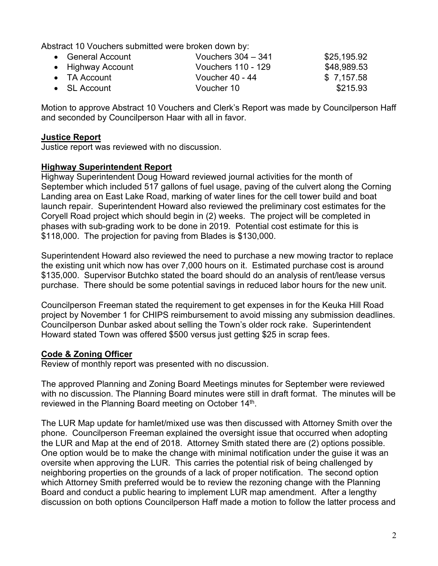Abstract 10 Vouchers submitted were broken down by:

| • General Account    | Vouchers $304 - 341$ | \$25,195.92 |
|----------------------|----------------------|-------------|
| • Highway Account    | Vouchers 110 - 129   | \$48,989.53 |
| $\bullet$ TA Account | Voucher 40 - 44      | \$7,157.58  |
| $\bullet$ SL Account | Voucher 10           | \$215.93    |

Motion to approve Abstract 10 Vouchers and Clerk's Report was made by Councilperson Haff and seconded by Councilperson Haar with all in favor.

#### **Justice Report**

Justice report was reviewed with no discussion.

## **Highway Superintendent Report**

Highway Superintendent Doug Howard reviewed journal activities for the month of September which included 517 gallons of fuel usage, paving of the culvert along the Corning Landing area on East Lake Road, marking of water lines for the cell tower build and boat launch repair. Superintendent Howard also reviewed the preliminary cost estimates for the Coryell Road project which should begin in (2) weeks. The project will be completed in phases with sub-grading work to be done in 2019. Potential cost estimate for this is \$118,000. The projection for paving from Blades is \$130,000.

Superintendent Howard also reviewed the need to purchase a new mowing tractor to replace the existing unit which now has over 7,000 hours on it. Estimated purchase cost is around \$135,000. Supervisor Butchko stated the board should do an analysis of rent/lease versus purchase. There should be some potential savings in reduced labor hours for the new unit.

Councilperson Freeman stated the requirement to get expenses in for the Keuka Hill Road project by November 1 for CHIPS reimbursement to avoid missing any submission deadlines. Councilperson Dunbar asked about selling the Town's older rock rake. Superintendent Howard stated Town was offered \$500 versus just getting \$25 in scrap fees.

## **Code & Zoning Officer**

Review of monthly report was presented with no discussion.

The approved Planning and Zoning Board Meetings minutes for September were reviewed with no discussion. The Planning Board minutes were still in draft format. The minutes will be reviewed in the Planning Board meeting on October 14<sup>th</sup>.

The LUR Map update for hamlet/mixed use was then discussed with Attorney Smith over the phone. Councilperson Freeman explained the oversight issue that occurred when adopting the LUR and Map at the end of 2018. Attorney Smith stated there are (2) options possible. One option would be to make the change with minimal notification under the guise it was an oversite when approving the LUR. This carries the potential risk of being challenged by neighboring properties on the grounds of a lack of proper notification. The second option which Attorney Smith preferred would be to review the rezoning change with the Planning Board and conduct a public hearing to implement LUR map amendment. After a lengthy discussion on both options Councilperson Haff made a motion to follow the latter process and